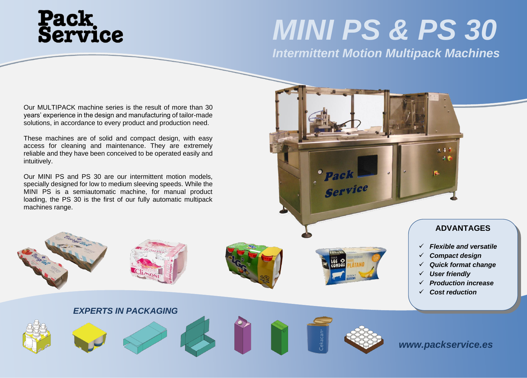# **Pack<br>Service**

## *MINI PS & PS 30*

*Intermittent Motion Multipack Machines*

Our MULTIPACK machine series is the result of more than 30 years' experience in the design and manufacturing of tailor-made solutions, in accordance to every product and production need.

These machines are of solid and compact design, with easy access for cleaning and maintenance. They are extremely reliable and they have been conceived to be operated easily and intuitively.

Our MINI PS and PS 30 are our intermittent motion models, specially designed for low to medium sleeving speeds. While the MINI PS is a semiautomatic machine, for manual product loading, the PS 30 is the first of our fully automatic multipack machines range.

### **ADVANTAGES**

- ✓ *Flexible and versatile*
- ✓ *Compact design*
- ✓ *Quick format change*
- ✓ *User friendly*
- ✓ *Production increase*
- ✓ *Cost reduction*













Service

*www.packservice.es*